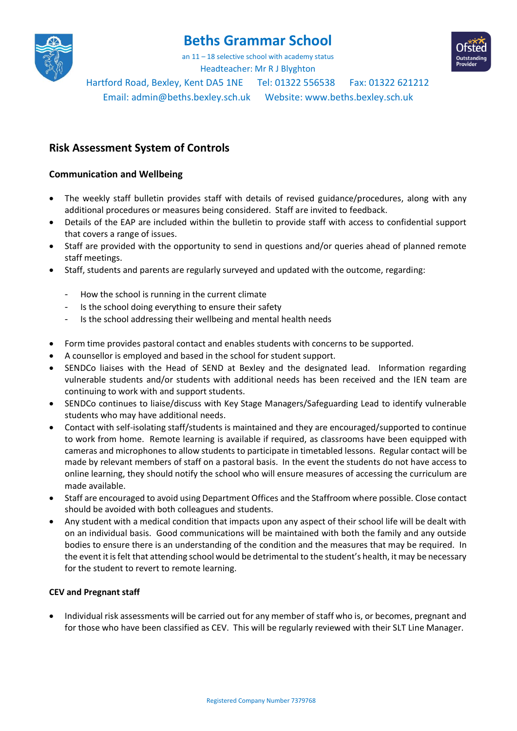

# **Beths Grammar School**

an 11 – 18 selective school with academy status



Headteacher: Mr R J Blyghton Hartford Road, Bexley, Kent DA5 1NE Tel: 01322 556538 Fax: 01322 621212

Email: [admin@beths.bexley.sch.uk](mailto:admin@beths.bexley.sch.uk) Website: [www.beths.bexley.sch.uk](http://www.beths.bexley.sch.uk/)

# **Risk Assessment System of Controls**

# **Communication and Wellbeing**

- The weekly staff bulletin provides staff with details of revised guidance/procedures, along with any additional procedures or measures being considered. Staff are invited to feedback.
- Details of the EAP are included within the bulletin to provide staff with access to confidential support that covers a range of issues.
- Staff are provided with the opportunity to send in questions and/or queries ahead of planned remote staff meetings.
- Staff, students and parents are regularly surveyed and updated with the outcome, regarding:
	- How the school is running in the current climate
	- Is the school doing everything to ensure their safety
	- Is the school addressing their wellbeing and mental health needs
- Form time provides pastoral contact and enables students with concerns to be supported.
- A counsellor is employed and based in the school for student support.
- SENDCo liaises with the Head of SEND at Bexley and the designated lead. Information regarding vulnerable students and/or students with additional needs has been received and the IEN team are continuing to work with and support students.
- SENDCo continues to liaise/discuss with Key Stage Managers/Safeguarding Lead to identify vulnerable students who may have additional needs.
- Contact with self-isolating staff/students is maintained and they are encouraged/supported to continue to work from home. Remote learning is available if required, as classrooms have been equipped with cameras and microphones to allow students to participate in timetabled lessons. Regular contact will be made by relevant members of staff on a pastoral basis. In the event the students do not have access to online learning, they should notify the school who will ensure measures of accessing the curriculum are made available.
- Staff are encouraged to avoid using Department Offices and the Staffroom where possible. Close contact should be avoided with both colleagues and students.
- Any student with a medical condition that impacts upon any aspect of their school life will be dealt with on an individual basis. Good communications will be maintained with both the family and any outside bodies to ensure there is an understanding of the condition and the measures that may be required. In the event it is felt that attending school would be detrimental to the student's health, it may be necessary for the student to revert to remote learning.

#### **CEV and Pregnant staff**

• Individual risk assessments will be carried out for any member of staff who is, or becomes, pregnant and for those who have been classified as CEV. This will be regularly reviewed with their SLT Line Manager.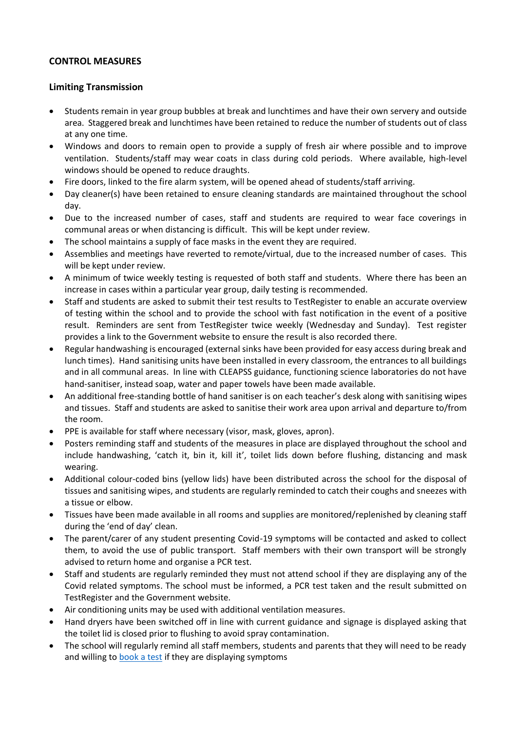# **CONTROL MEASURES**

#### **Limiting Transmission**

- Students remain in year group bubbles at break and lunchtimes and have their own servery and outside area. Staggered break and lunchtimes have been retained to reduce the number of students out of class at any one time.
- Windows and doors to remain open to provide a supply of fresh air where possible and to improve ventilation. Students/staff may wear coats in class during cold periods. Where available, high-level windows should be opened to reduce draughts.
- Fire doors, linked to the fire alarm system, will be opened ahead of students/staff arriving.
- Day cleaner(s) have been retained to ensure cleaning standards are maintained throughout the school day.
- Due to the increased number of cases, staff and students are required to wear face coverings in communal areas or when distancing is difficult. This will be kept under review.
- The school maintains a supply of face masks in the event they are required.
- Assemblies and meetings have reverted to remote/virtual, due to the increased number of cases. This will be kept under review.
- A minimum of twice weekly testing is requested of both staff and students. Where there has been an increase in cases within a particular year group, daily testing is recommended.
- Staff and students are asked to submit their test results to TestRegister to enable an accurate overview of testing within the school and to provide the school with fast notification in the event of a positive result. Reminders are sent from TestRegister twice weekly (Wednesday and Sunday). Test register provides a link to the Government website to ensure the result is also recorded there.
- Regular handwashing is encouraged (external sinks have been provided for easy access during break and lunch times). Hand sanitising units have been installed in every classroom, the entrances to all buildings and in all communal areas. In line with CLEAPSS guidance, functioning science laboratories do not have hand-sanitiser, instead soap, water and paper towels have been made available.
- An additional free-standing bottle of hand sanitiser is on each teacher's desk along with sanitising wipes and tissues. Staff and students are asked to sanitise their work area upon arrival and departure to/from the room.
- PPE is available for staff where necessary (visor, mask, gloves, apron).
- Posters reminding staff and students of the measures in place are displayed throughout the school and include handwashing, 'catch it, bin it, kill it', toilet lids down before flushing, distancing and mask wearing.
- Additional colour-coded bins (yellow lids) have been distributed across the school for the disposal of tissues and sanitising wipes, and students are regularly reminded to catch their coughs and sneezes with a tissue or elbow.
- Tissues have been made available in all rooms and supplies are monitored/replenished by cleaning staff during the 'end of day' clean.
- The parent/carer of any student presenting Covid-19 symptoms will be contacted and asked to collect them, to avoid the use of public transport. Staff members with their own transport will be strongly advised to return home and organise a PCR test.
- Staff and students are regularly reminded they must not attend school if they are displaying any of the Covid related symptoms. The school must be informed, a PCR test taken and the result submitted on TestRegister and the Government website.
- Air conditioning units may be used with additional ventilation measures.
- Hand dryers have been switched off in line with current guidance and signage is displayed asking that the toilet lid is closed prior to flushing to avoid spray contamination.
- The school will regularly remind all staff members, students and parents that they will need to be ready and willing to [book a test](https://www.gov.uk/guidance/coronavirus-covid-19-getting-tested) if they are displaying symptoms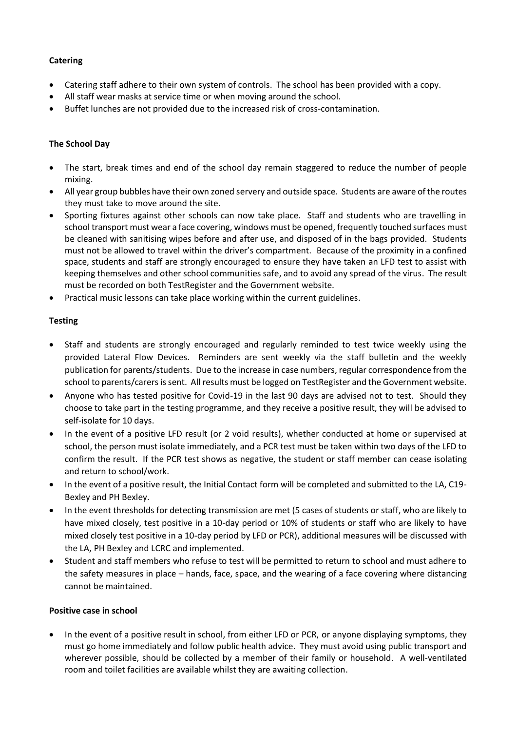#### **Catering**

- Catering staff adhere to their own system of controls. The school has been provided with a copy.
- All staff wear masks at service time or when moving around the school.
- Buffet lunches are not provided due to the increased risk of cross-contamination.

#### **The School Day**

- The start, break times and end of the school day remain staggered to reduce the number of people mixing.
- All year group bubbles have their own zoned servery and outside space. Students are aware of the routes they must take to move around the site.
- Sporting fixtures against other schools can now take place. Staff and students who are travelling in school transport must wear a face covering, windows must be opened, frequently touched surfaces must be cleaned with sanitising wipes before and after use, and disposed of in the bags provided. Students must not be allowed to travel within the driver's compartment. Because of the proximity in a confined space, students and staff are strongly encouraged to ensure they have taken an LFD test to assist with keeping themselves and other school communities safe, and to avoid any spread of the virus. The result must be recorded on both TestRegister and the Government website.
- Practical music lessons can take place working within the current guidelines.

#### **Testing**

- Staff and students are strongly encouraged and regularly reminded to test twice weekly using the provided Lateral Flow Devices. Reminders are sent weekly via the staff bulletin and the weekly publication for parents/students. Due to the increase in case numbers, regular correspondence from the school to parents/carers is sent. All results must be logged on TestRegister and the Government website.
- Anyone who has tested positive for Covid-19 in the last 90 days are advised not to test. Should they choose to take part in the testing programme, and they receive a positive result, they will be advised to self-isolate for 10 days.
- In the event of a positive LFD result (or 2 void results), whether conducted at home or supervised at school, the person must isolate immediately, and a PCR test must be taken within two days of the LFD to confirm the result. If the PCR test shows as negative, the student or staff member can cease isolating and return to school/work.
- In the event of a positive result, the Initial Contact form will be completed and submitted to the LA, C19- Bexley and PH Bexley.
- In the event thresholds for detecting transmission are met (5 cases of students or staff, who are likely to have mixed closely, test positive in a 10-day period or 10% of students or staff who are likely to have mixed closely test positive in a 10-day period by LFD or PCR), additional measures will be discussed with the LA, PH Bexley and LCRC and implemented.
- Student and staff members who refuse to test will be permitted to return to school and must adhere to the safety measures in place – hands, face, space, and the wearing of a face covering where distancing cannot be maintained.

#### **Positive case in school**

• In the event of a positive result in school, from either LFD or PCR, or anyone displaying symptoms, they must go home immediately and follow public health advice. They must avoid using public transport and wherever possible, should be collected by a member of their family or household. A well-ventilated room and toilet facilities are available whilst they are awaiting collection.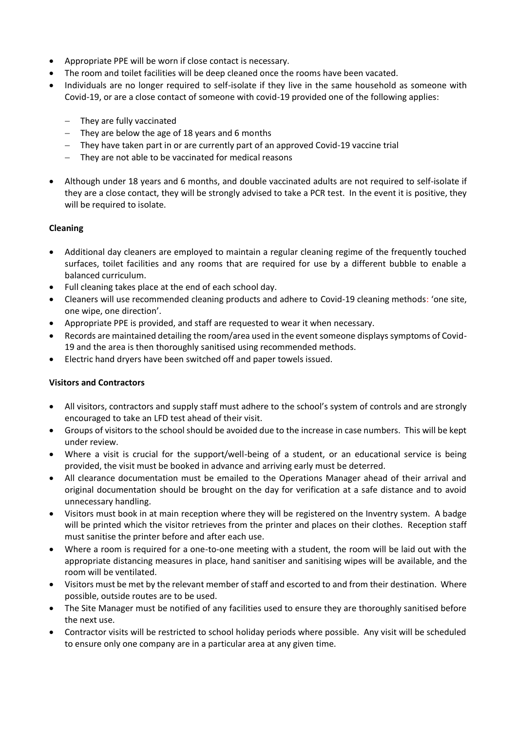- Appropriate PPE will be worn if close contact is necessary.
- The room and toilet facilities will be deep cleaned once the rooms have been vacated.
- Individuals are no longer required to self-isolate if they live in the same household as someone with Covid-19, or are a close contact of someone with covid-19 provided one of the following applies:
	- − They are fully vaccinated
	- − They are below the age of 18 years and 6 months
	- − They have taken part in or are currently part of an approved Covid-19 vaccine trial
	- − They are not able to be vaccinated for medical reasons
- Although under 18 years and 6 months, and double vaccinated adults are not required to self-isolate if they are a close contact, they will be strongly advised to take a PCR test. In the event it is positive, they will be required to isolate.

#### **Cleaning**

- Additional day cleaners are employed to maintain a regular cleaning regime of the frequently touched surfaces, toilet facilities and any rooms that are required for use by a different bubble to enable a balanced curriculum.
- Full cleaning takes place at the end of each school day.
- Cleaners will use recommended cleaning products and adhere to Covid-19 cleaning methods: 'one site, one wipe, one direction'.
- Appropriate PPE is provided, and staff are requested to wear it when necessary.
- Records are maintained detailing the room/area used in the event someone displays symptoms of Covid-19 and the area is then thoroughly sanitised using recommended methods.
- Electric hand dryers have been switched off and paper towels issued.

#### **Visitors and Contractors**

- All visitors, contractors and supply staff must adhere to the school's system of controls and are strongly encouraged to take an LFD test ahead of their visit.
- Groups of visitors to the school should be avoided due to the increase in case numbers. This will be kept under review.
- Where a visit is crucial for the support/well-being of a student, or an educational service is being provided, the visit must be booked in advance and arriving early must be deterred.
- All clearance documentation must be emailed to the Operations Manager ahead of their arrival and original documentation should be brought on the day for verification at a safe distance and to avoid unnecessary handling.
- Visitors must book in at main reception where they will be registered on the Inventry system. A badge will be printed which the visitor retrieves from the printer and places on their clothes. Reception staff must sanitise the printer before and after each use.
- Where a room is required for a one-to-one meeting with a student, the room will be laid out with the appropriate distancing measures in place, hand sanitiser and sanitising wipes will be available, and the room will be ventilated.
- Visitors must be met by the relevant member of staff and escorted to and from their destination. Where possible, outside routes are to be used.
- The Site Manager must be notified of any facilities used to ensure they are thoroughly sanitised before the next use.
- Contractor visits will be restricted to school holiday periods where possible. Any visit will be scheduled to ensure only one company are in a particular area at any given time.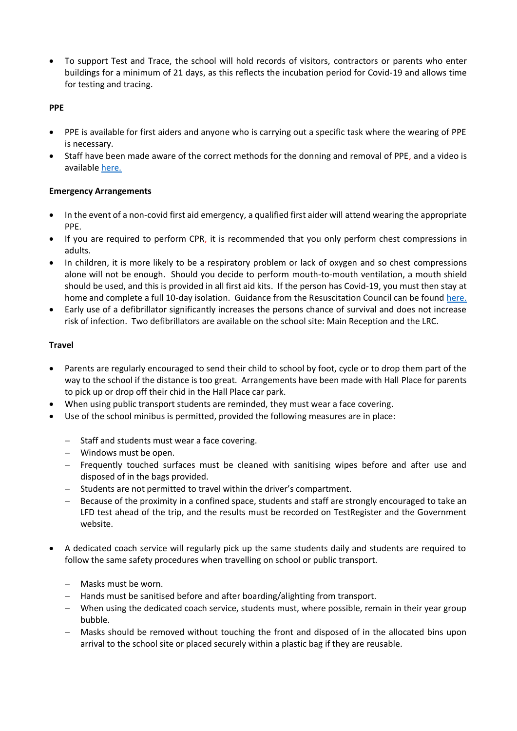• To support Test and Trace, the school will hold records of visitors, contractors or parents who enter buildings for a minimum of 21 days, as this reflects the incubation period for Covid-19 and allows time for testing and tracing.

#### **PPE**

- PPE is available for first aiders and anyone who is carrying out a specific task where the wearing of PPE is necessary.
- Staff have been made aware of the correct methods for the donning and removal of PPE, and a video is available [here.](https://www.youtube.com/watch?v=vs9ZMSghbck)

# **Emergency Arrangements**

- In the event of a non-covid first aid emergency, a qualified first aider will attend wearing the appropriate PPE.
- If you are required to perform CPR, it is recommended that you only perform chest compressions in adults.
- In children, it is more likely to be a respiratory problem or lack of oxygen and so chest compressions alone will not be enough. Should you decide to perform mouth-to-mouth ventilation, a mouth shield should be used, and this is provided in all first aid kits. If the person has Covid-19, you must then stay at home and complete a full 10-day isolation. Guidance from the Resuscitation Council can be found [here.](https://www.resus.org.uk/media/statements/resuscitation-council-uk-statements-on-covid-19-coronavirus-cpr-and-resuscitation/covid-community/)
- Early use of a defibrillator significantly increases the persons chance of survival and does not increase risk of infection. Two defibrillators are available on the school site: Main Reception and the LRC.

# **Travel**

- Parents are regularly encouraged to send their child to school by foot, cycle or to drop them part of the way to the school if the distance is too great. Arrangements have been made with Hall Place for parents to pick up or drop off their chid in the Hall Place car park.
- When using public transport students are reminded, they must wear a face covering.
- Use of the school minibus is permitted, provided the following measures are in place:
	- − Staff and students must wear a face covering.
	- − Windows must be open.
	- − Frequently touched surfaces must be cleaned with sanitising wipes before and after use and disposed of in the bags provided.
	- − Students are not permitted to travel within the driver's compartment.
	- − Because of the proximity in a confined space, students and staff are strongly encouraged to take an LFD test ahead of the trip, and the results must be recorded on TestRegister and the Government website.
- A dedicated coach service will regularly pick up the same students daily and students are required to follow the same safety procedures when travelling on school or public transport.
	- − Masks must be worn.
	- − Hands must be sanitised before and after boarding/alighting from transport.
	- − When using the dedicated coach service, students must, where possible, remain in their year group bubble.
	- − Masks should be removed without touching the front and disposed of in the allocated bins upon arrival to the school site or placed securely within a plastic bag if they are reusable.